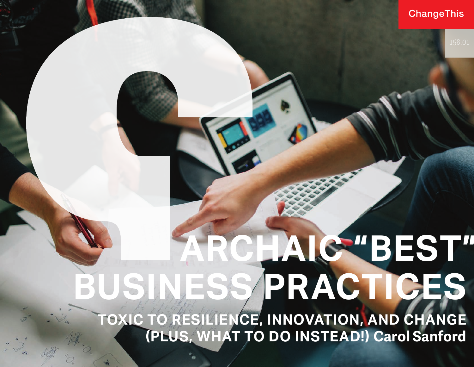# **ARCHAIC "BEST" BUSINESS PRACTICES**

**TOXIC TO RESILIENCE, INNOVATION, AND CHANGE (PLUS, WHAT TO DO INSTEAD!) Carol Sanford**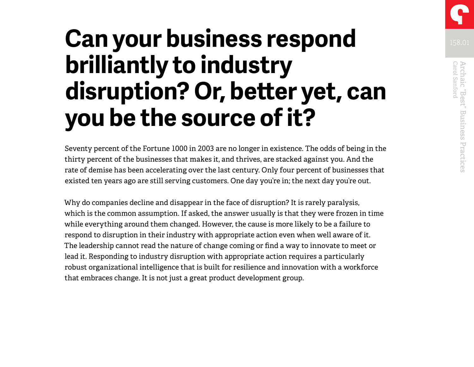## **Can your business respond brilliantly to industry disruption? Or, better yet, can you be the source of it?**

Seventy percent of the Fortune 1000 in 2003 are no longer in existence. The odds of being in the thirty percent of the businesses that makes it, and thrives, are stacked against you. And the rate of demise has been accelerating over the last century. Only four percent of businesses that existed ten years ago are still serving customers. One day you're in; the next day you're out.

Why do companies decline and disappear in the face of disruption? It is rarely paralysis, which is the common assumption. If asked, the answer usually is that they were frozen in time while everything around them changed. However, the cause is more likely to be a failure to respond to disruption in their industry with appropriate action even when well aware of it. The leadership cannot read the nature of change coming or find a way to innovate to meet or lead it. Responding to industry disruption with appropriate action requires a particularly robust organizational intelligence that is built for resilience and innovation with a workforce that embraces change. It is not just a great product development group.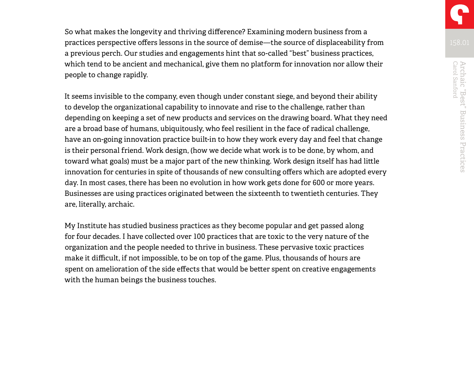So what makes the longevity and thriving difference? Examining modern business from a practices perspective offers lessons in the source of demise—the source of displaceability from a previous perch. Our studies and engagements hint that so-called "best" business practices, which tend to be ancient and mechanical, give them no platform for innovation nor allow their people to change rapidly.

It seems invisible to the company, even though under constant siege, and beyond their ability to develop the organizational capability to innovate and rise to the challenge, rather than depending on keeping a set of new products and services on the drawing board. What they need are a broad base of humans, ubiquitously, who feel resilient in the face of radical challenge, have an on-going innovation practice built-in to how they work every day and feel that change is their personal friend. Work design, (how we decide what work is to be done, by whom, and toward what goals) must be a major part of the new thinking. Work design itself has had little innovation for centuries in spite of thousands of new consulting offers which are adopted every day. In most cases, there has been no evolution in how work gets done for 600 or more years. Businesses are using practices originated between the sixteenth to twentieth centuries. They are, literally, archaic.

My Institute has studied business practices as they become popular and get passed along for four decades. I have collected over 100 practices that are toxic to the very nature of the organization and the people needed to thrive in business. These pervasive toxic practices make it difficult, if not impossible, to be on top of the game. Plus, thousands of hours are spent on amelioration of the side effects that would be better spent on creative engagements with the human beings the business touches.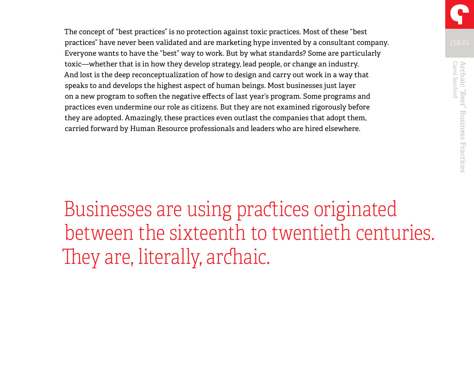The concept of "best practices" is no protection against toxic practices. Most of these "best practices" have never been validated and are marketing hype invented by a consultant company. Everyone wants to have the "best" way to work. But by what standards? Some are particularly toxic—whether that is in how they develop strategy, lead people, or change an industry. And lost is the deep reconceptualization of how to design and carry out work in a way that speaks to and develops the highest aspect of human beings. Most businesses just layer on a new program to soften the negative effects of last year's program. Some programs and practices even undermine our role as citizens. But they are not examined rigorously before they are adopted. Amazingly, these practices even outlast the companies that adopt them, carried forward by Human Resource professionals and leaders who are hired elsewhere.

Businesses are using practices originated between the sixteenth to twentieth centuries. They are, literally, archaic.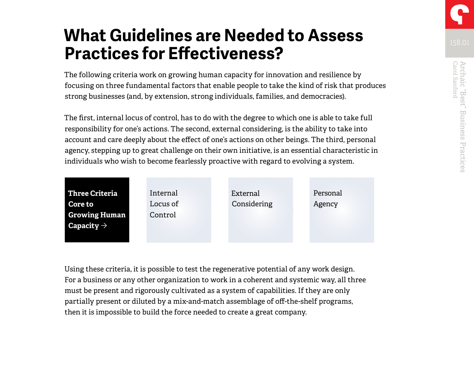Archaic "Best" Business Practices<br>Carol Sanford

Archaic "Best" Business Practices<br>Carol Sanford

#### **What Guidelines are Needed to Assess Practices for Effectiveness?**

The following criteria work on growing human capacity for innovation and resilience by focusing on three fundamental factors that enable people to take the kind of risk that produces strong businesses (and, by extension, strong individuals, families, and democracies).

The first, internal locus of control, has to do with the degree to which one is able to take full responsibility for one's actions. The second, external considering, is the ability to take into account and care deeply about the effect of one's actions on other beings. The third, personal agency, stepping up to great challenge on their own initiative, is an essential characteristic in individuals who wish to become fearlessly proactive with regard to evolving a system.

| <b>Three Criteria</b>  | Internal | External    | Personal |
|------------------------|----------|-------------|----------|
| <b>Core to</b>         | Locus of | Considering | Agency   |
| <b>Growing Human</b>   | Control  |             |          |
| Capacity $\rightarrow$ |          |             |          |
|                        |          |             |          |

Using these criteria, it is possible to test the regenerative potential of any work design. For a business or any other organization to work in a coherent and systemic way, all three must be present and rigorously cultivated as a system of capabilities. If they are only partially present or diluted by a mix-and-match assemblage of off-the-shelf programs, then it is impossible to build the force needed to create a great company.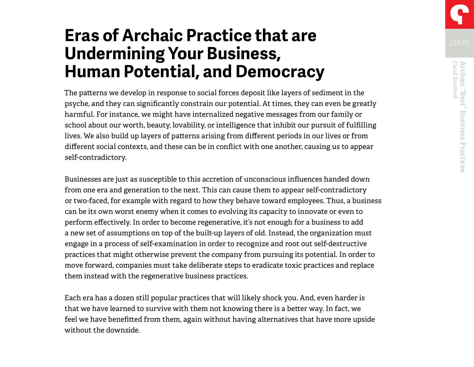#### **Eras of Archaic Practice that are Undermining Your Business, Human Potential, and Democracy**

The patterns we develop in response to social forces deposit like layers of sediment in the psyche, and they can significantly constrain our potential. At times, they can even be greatly harmful. For instance, we might have internalized negative messages from our family or school about our worth, beauty, lovability, or intelligence that inhibit our pursuit of fulfilling lives. We also build up layers of patterns arising from different periods in our lives or from different social contexts, and these can be in conflict with one another, causing us to appear self-contradictory.

Businesses are just as susceptible to this accretion of unconscious influences handed down from one era and generation to the next. This can cause them to appear self-contradictory or two-faced, for example with regard to how they behave toward employees. Thus, a business can be its own worst enemy when it comes to evolving its capacity to innovate or even to perform effectively. In order to become regenerative, it's not enough for a business to add a new set of assumptions on top of the built-up layers of old. Instead, the organization must engage in a process of self-examination in order to recognize and root out self-destructive practices that might otherwise prevent the company from pursuing its potential. In order to move forward, companies must take deliberate steps to eradicate toxic practices and replace them instead with the regenerative business practices.

Each era has a dozen still popular practices that will likely shock you. And, even harder is that we have learned to survive with them not knowing there is a better way. In fact, we feel we have benefitted from them, again without having alternatives that have more upside without the downside.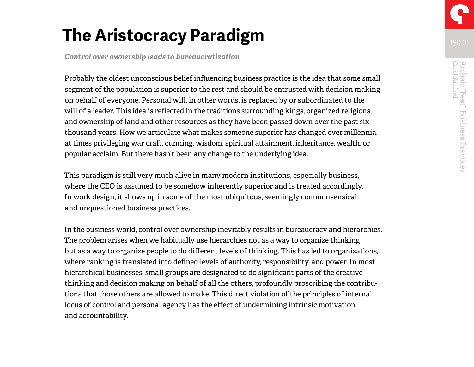## **The Aristocracy Paradigm**

*Control over ownership leads to bureaucratization*

Probably the oldest unconscious belief influencing business practice is the idea that some small segment of the population is superior to the rest and should be entrusted with decision making on behalf of everyone. Personal will, in other words, is replaced by or subordinated to the will of a leader. This idea is reflected in the traditions surrounding kings, organized religions, and ownership of land and other resources as they have been passed down over the past six thousand years. How we articulate what makes someone superior has changed over millennia, at times privileging war craft, cunning, wisdom, spiritual attainment, inheritance, wealth, or popular acclaim. But there hasn't been any change to the underlying idea.

This paradigm is still very much alive in many modern institutions, especially business, where the CEO is assumed to be somehow inherently superior and is treated accordingly. In work design, it shows up in some of the most ubiquitous, seemingly commonsensical, and unquestioned business practices.

In the business world, control over ownership inevitably results in bureaucracy and hierarchies. The problem arises when we habitually use hierarchies not as a way to organize thinking but as a way to organize people to do different levels of thinking. This has led to organizations, where ranking is translated into defined levels of authority, responsibility, and power. In most hierarchical businesses, small groups are designated to do significant parts of the creative thinking and decision making on behalf of all the others, profoundly proscribing the contributions that those others are allowed to make. This direct violation of the principles of internal locus of control and personal agency has the effect of undermining intrinsic motivation and accountability.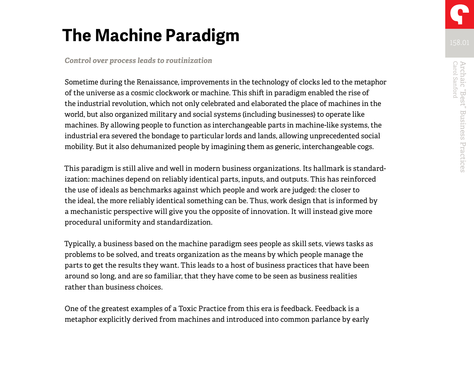### **The Machine Paradigm**

*Control over process leads to routinization*

Sometime during the Renaissance, improvements in the technology of clocks led to the metaphor of the universe as a cosmic clockwork or machine. This shift in paradigm enabled the rise of the industrial revolution, which not only celebrated and elaborated the place of machines in the world, but also organized military and social systems (including businesses) to operate like machines. By allowing people to function as interchangeable parts in machine-like systems, the industrial era severed the bondage to particular lords and lands, allowing unprecedented social mobility. But it also dehumanized people by imagining them as generic, interchangeable cogs.

This paradigm is still alive and well in modern business organizations. Its hallmark is standardization: machines depend on reliably identical parts, inputs, and outputs. This has reinforced the use of ideals as benchmarks against which people and work are judged: the closer to the ideal, the more reliably identical something can be. Thus, work design that is informed by a mechanistic perspective will give you the opposite of innovation. It will instead give more procedural uniformity and standardization.

Typically, a business based on the machine paradigm sees people as skill sets, views tasks as problems to be solved, and treats organization as the means by which people manage the parts to get the results they want. This leads to a host of business practices that have been around so long, and are so familiar, that they have come to be seen as business realities rather than business choices.

One of the greatest examples of a Toxic Practice from this era is feedback. Feedback is a metaphor explicitly derived from machines and introduced into common parlance by early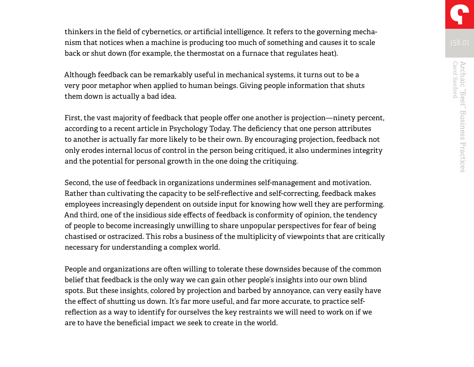thinkers in the field of cybernetics, or artificial intelligence. It refers to the governing mechanism that notices when a machine is producing too much of something and causes it to scale back or shut down (for example, the thermostat on a furnace that regulates heat).

Although feedback can be remarkably useful in mechanical systems, it turns out to be a very poor metaphor when applied to human beings. Giving people information that shuts them down is actually a bad idea.

First, the vast majority of feedback that people offer one another is projection—ninety percent, according to a recent article in Psychology Today. The deficiency that one person attributes to another is actually far more likely to be their own. By encouraging projection, feedback not only erodes internal locus of control in the person being critiqued, it also undermines integrity and the potential for personal growth in the one doing the critiquing.

Second, the use of feedback in organizations undermines self-management and motivation. Rather than cultivating the capacity to be self-reflective and self-correcting, feedback makes employees increasingly dependent on outside input for knowing how well they are performing. And third, one of the insidious side effects of feedback is conformity of opinion, the tendency of people to become increasingly unwilling to share unpopular perspectives for fear of being chastised or ostracized. This robs a business of the multiplicity of viewpoints that are critically necessary for understanding a complex world.

People and organizations are often willing to tolerate these downsides because of the common belief that feedback is the only way we can gain other people's insights into our own blind spots. But these insights, colored by projection and barbed by annoyance, can very easily have the effect of shutting us down. It's far more useful, and far more accurate, to practice selfreflection as a way to identify for ourselves the key restraints we will need to work on if we are to have the beneficial impact we seek to create in the world.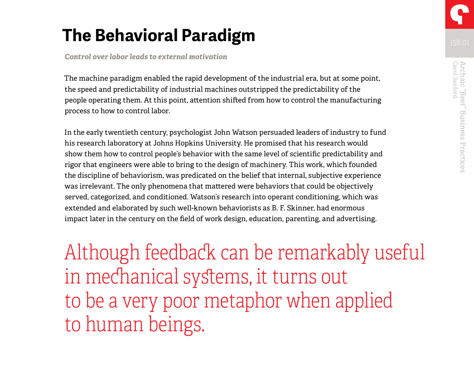## **The Behavioral Paradigm**

*Control over labor leads to external motivation*

The machine paradigm enabled the rapid development of the industrial era, but at some point, the speed and predictability of industrial machines outstripped the predictability of the people operating them. At this point, attention shifted from how to control the manufacturing process to how to control labor.

In the early twentieth century, psychologist John Watson persuaded leaders of industry to fund his research laboratory at Johns Hopkins University. He promised that his research would show them how to control people's behavior with the same level of scientific predictability and rigor that engineers were able to bring to the design of machinery. This work, which founded the discipline of behaviorism, was predicated on the belief that internal, subjective experience was irrelevant. The only phenomena that mattered were behaviors that could be objectively served, categorized, and conditioned. Watson's research into operant conditioning, which was extended and elaborated by such well-known behaviorists as B. F. Skinner, had enormous impact later in the century on the field of work design, education, parenting, and advertising.

Although feedback can be remarkably useful in mechanical systems, it turns out to be a very poor metaphor when applied to human beings.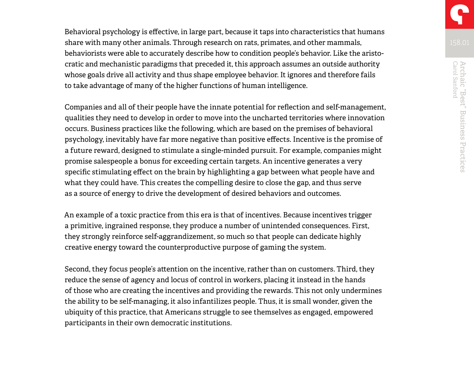Behavioral psychology is effective, in large part, because it taps into characteristics that humans share with many other animals. Through research on rats, primates, and other mammals, behaviorists were able to accurately describe how to condition people's behavior. Like the aristocratic and mechanistic paradigms that preceded it, this approach assumes an outside authority whose goals drive all activity and thus shape employee behavior. It ignores and therefore fails to take advantage of many of the higher functions of human intelligence.

Companies and all of their people have the innate potential for reflection and self-management, qualities they need to develop in order to move into the uncharted territories where innovation occurs. Business practices like the following, which are based on the premises of behavioral psychology, inevitably have far more negative than positive effects. Incentive is the promise of a future reward, designed to stimulate a single-minded pursuit. For example, companies might promise salespeople a bonus for exceeding certain targets. An incentive generates a very specific stimulating effect on the brain by highlighting a gap between what people have and what they could have. This creates the compelling desire to close the gap, and thus serve as a source of energy to drive the development of desired behaviors and outcomes.

An example of a toxic practice from this era is that of incentives. Because incentives trigger a primitive, ingrained response, they produce a number of unintended consequences. First, they strongly reinforce self-aggrandizement, so much so that people can dedicate highly creative energy toward the counterproductive purpose of gaming the system.

Second, they focus people's attention on the incentive, rather than on customers. Third, they reduce the sense of agency and locus of control in workers, placing it instead in the hands of those who are creating the incentives and providing the rewards. This not only undermines the ability to be self-managing, it also infantilizes people. Thus, it is small wonder, given the ubiquity of this practice, that Americans struggle to see themselves as engaged, empowered participants in their own democratic institutions.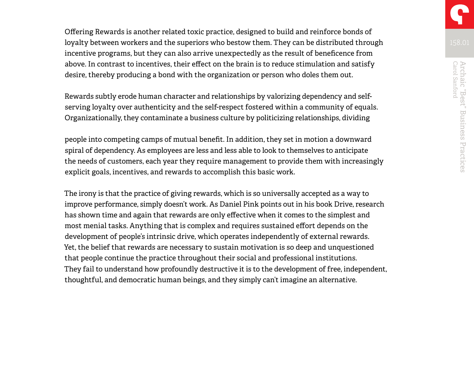Offering Rewards is another related toxic practice, designed to build and reinforce bonds of loyalty between workers and the superiors who bestow them. They can be distributed through incentive programs, but they can also arrive unexpectedly as the result of beneficence from above. In contrast to incentives, their effect on the brain is to reduce stimulation and satisfy desire, thereby producing a bond with the organization or person who doles them out.

Rewards subtly erode human character and relationships by valorizing dependency and selfserving loyalty over authenticity and the self-respect fostered within a community of equals. Organizationally, they contaminate a business culture by politicizing relationships, dividing

people into competing camps of mutual benefit. In addition, they set in motion a downward spiral of dependency. As employees are less and less able to look to themselves to anticipate the needs of customers, each year they require management to provide them with increasingly explicit goals, incentives, and rewards to accomplish this basic work.

The irony is that the practice of giving rewards, which is so universally accepted as a way to improve performance, simply doesn't work. As Daniel Pink points out in his book Drive, research has shown time and again that rewards are only effective when it comes to the simplest and most menial tasks. Anything that is complex and requires sustained effort depends on the development of people's intrinsic drive, which operates independently of external rewards. Yet, the belief that rewards are necessary to sustain motivation is so deep and unquestioned that people continue the practice throughout their social and professional institutions. They fail to understand how profoundly destructive it is to the development of free, independent, thoughtful, and democratic human beings, and they simply can't imagine an alternative.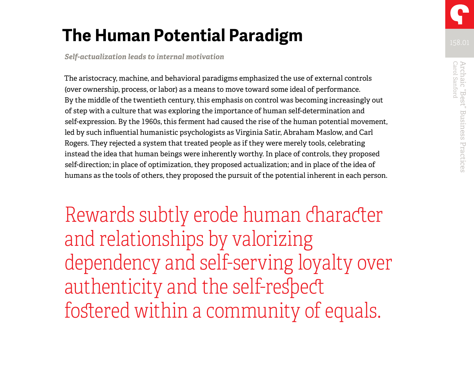## **The Human Potential Paradigm**

*Self-actualization leads to internal motivation*

The aristocracy, machine, and behavioral paradigms emphasized the use of external controls (over ownership, process, or labor) as a means to move toward some ideal of performance. By the middle of the twentieth century, this emphasis on control was becoming increasingly out of step with a culture that was exploring the importance of human self-determination and self-expression. By the 1960s, this ferment had caused the rise of the human potential movement, led by such influential humanistic psychologists as Virginia Satir, Abraham Maslow, and Carl Rogers. They rejected a system that treated people as if they were merely tools, celebrating instead the idea that human beings were inherently worthy. In place of controls, they proposed self-direction; in place of optimization, they proposed actualization; and in place of the idea of humans as the tools of others, they proposed the pursuit of the potential inherent in each person.

Rewards subtly erode human character and relationships by valorizing dependency and self-serving loyalty over authenticity and the self-respect fostered within a community of equals.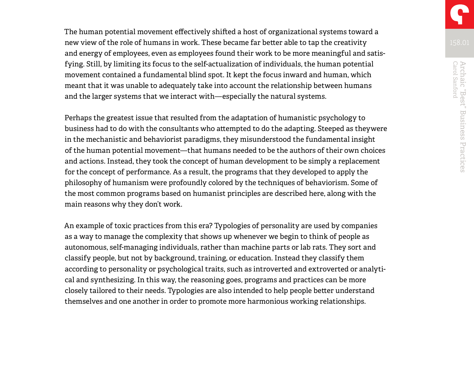The human potential movement effectively shifted a host of organizational systems toward a new view of the role of humans in work. These became far better able to tap the creativity and energy of employees, even as employees found their work to be more meaningful and satisfying. Still, by limiting its focus to the self-actualization of individuals, the human potential movement contained a fundamental blind spot. It kept the focus inward and human, which meant that it was unable to adequately take into account the relationship between humans and the larger systems that we interact with—especially the natural systems.

Perhaps the greatest issue that resulted from the adaptation of humanistic psychology to business had to do with the consultants who attempted to do the adapting. Steeped as theywere in the mechanistic and behaviorist paradigms, they misunderstood the fundamental insight of the human potential movement—that humans needed to be the authors of their own choices and actions. Instead, they took the concept of human development to be simply a replacement for the concept of performance. As a result, the programs that they developed to apply the philosophy of humanism were profoundly colored by the techniques of behaviorism. Some of the most common programs based on humanist principles are described here, along with the main reasons why they don't work.

An example of toxic practices from this era? Typologies of personality are used by companies as a way to manage the complexity that shows up whenever we begin to think of people as autonomous, self-managing individuals, rather than machine parts or lab rats. They sort and classify people, but not by background, training, or education. Instead they classify them according to personality or psychological traits, such as introverted and extroverted or analytical and synthesizing. In this way, the reasoning goes, programs and practices can be more closely tailored to their needs. Typologies are also intended to help people better understand themselves and one another in order to promote more harmonious working relationships.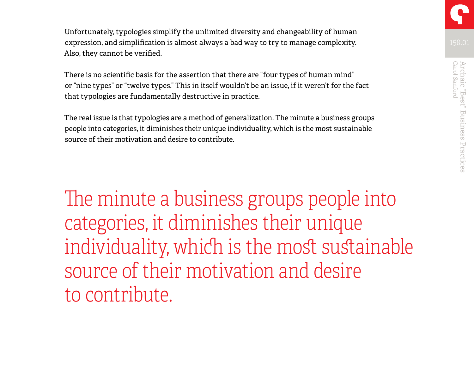Unfortunately, typologies simplify the unlimited diversity and changeability of human expression, and simplification is almost always a bad way to try to manage complexity. Also, they cannot be verified.

There is no scientific basis for the assertion that there are "four types of human mind" or "nine types" or "twelve types." This in itself wouldn't be an issue, if it weren't for the fact that typologies are fundamentally destructive in practice.

The real issue is that typologies are a method of generalization. The minute a business groups people into categories, it diminishes their unique individuality, which is the most sustainable source of their motivation and desire to contribute.

The minute a business groups people into categories, it diminishes their unique individuality, which is the most sustainable source of their motivation and desire to contribute.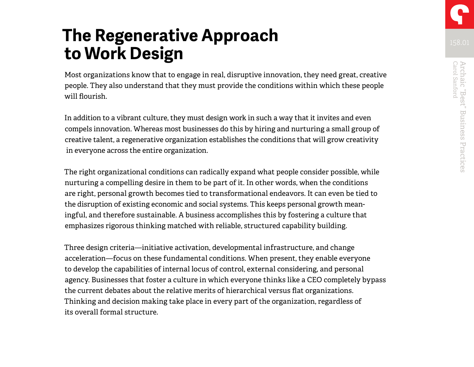#### **The Regenerative Approach to Work Design**

Most organizations know that to engage in real, disruptive innovation, they need great, creative people. They also understand that they must provide the conditions within which these people will flourish.

In addition to a vibrant culture, they must design work in such a way that it invites and even compels innovation. Whereas most businesses do this by hiring and nurturing a small group of creative talent, a regenerative organization establishes the conditions that will grow creativity in everyone across the entire organization.

The right organizational conditions can radically expand what people consider possible, while nurturing a compelling desire in them to be part of it. In other words, when the conditions are right, personal growth becomes tied to transformational endeavors. It can even be tied to the disruption of existing economic and social systems. This keeps personal growth meaningful, and therefore sustainable. A business accomplishes this by fostering a culture that emphasizes rigorous thinking matched with reliable, structured capability building.

Three design criteria—initiative activation, developmental infrastructure, and change acceleration—focus on these fundamental conditions. When present, they enable everyone to develop the capabilities of internal locus of control, external considering, and personal agency. Businesses that foster a culture in which everyone thinks like a CEO completely bypass the current debates about the relative merits of hierarchical versus flat organizations. Thinking and decision making take place in every part of the organization, regardless of its overall formal structure.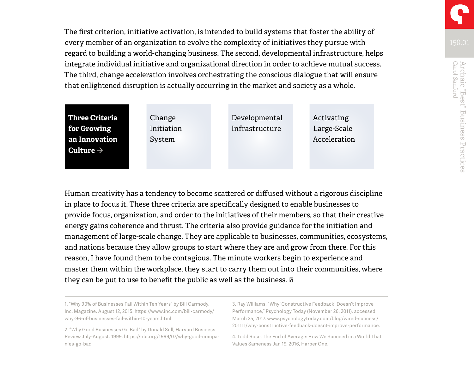The first criterion, initiative activation, is intended to build systems that foster the ability of every member of an organization to evolve the complexity of initiatives they pursue with regard to building a world-changing business. The second, developmental infrastructure, helps integrate individual initiative and organizational direction in order to achieve mutual success. The third, change acceleration involves orchestrating the conscious dialogue that will ensure that enlightened disruption is actually occurring in the market and society as a whole.

| <b>Three Criteria</b> | Change     | Developmental  | Activating   |
|-----------------------|------------|----------------|--------------|
| for Growing           | Initiation | Infrastructure | Large-Scale  |
| an Innovation         | System     |                | Acceleration |
| Culture $\rightarrow$ |            |                |              |
|                       |            |                |              |

Human creativity has a tendency to become scattered or diffused without a rigorous discipline in place to focus it. These three criteria are specifically designed to enable businesses to provide focus, organization, and order to the initiatives of their members, so that their creative energy gains coherence and thrust. The criteria also provide guidance for the initiation and management of large-scale change. They are applicable to businesses, communities, ecosystems, and nations because they allow groups to start where they are and grow from there. For this reason, I have found them to be contagious. The minute workers begin to experience and master them within the workplace, they start to carry them out into their communities, where they can be put to use to benefit the public as well as the business.  $\mathbb S$ 

1. "Why 90% of Businesses Fail Within Ten Years" by Bill Carmody, Inc. Magazine. August 12, 2015. https://www.inc.com/bill-carmody/ why-96-of-businesses-fail-within-10-years.html

2. "Why Good Businesses Go Bad" by Donald Sull, Harvard Business Review July-August. 1999. https://hbr.org/1999/07/why-good-companies-go-bad

3. Ray Williams, "Why 'Constructive Feedback' Doesn't Improve Performance," Psychology Today (November 26, 2011), accessed March 25, 2017. www.psychologytoday.com/blog/wired-success/ 201111/why-constructive-feedback-doesnt-improve-performance.

4. Todd Rose, The End of Average: How We Succeed in a World That Values Sameness Jan 19, 2016, Harper One.